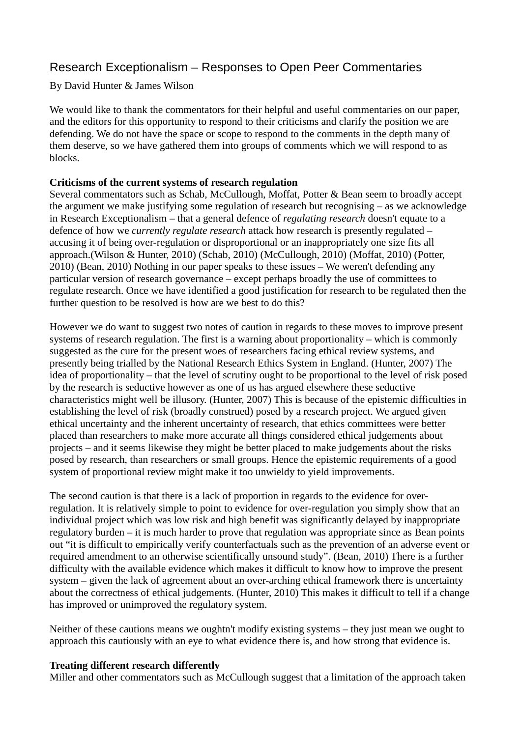# Research Exceptionalism – Responses to Open Peer Commentaries

By David Hunter & James Wilson

We would like to thank the commentators for their helpful and useful commentaries on our paper, and the editors for this opportunity to respond to their criticisms and clarify the position we are defending. We do not have the space or scope to respond to the comments in the depth many of them deserve, so we have gathered them into groups of comments which we will respond to as blocks.

## **Criticisms of the current systems of research regulation**

Several commentators such as Schab, McCullough, Moffat, Potter & Bean seem to broadly accept the argument we make justifying some regulation of research but recognising – as we acknowledge in Research Exceptionalism – that a general defence of *regulating research* doesn't equate to a defence of how we *currently regulate research* attack how research is presently regulated – accusing it of being over-regulation or disproportional or an inappropriately one size fits all approach.(Wilson & Hunter, 2010) (Schab, 2010) (McCullough, 2010) (Moffat, 2010) (Potter, 2010) (Bean, 2010) Nothing in our paper speaks to these issues – We weren't defending any particular version of research governance – except perhaps broadly the use of committees to regulate research. Once we have identified a good justification for research to be regulated then the further question to be resolved is how are we best to do this?

However we do want to suggest two notes of caution in regards to these moves to improve present systems of research regulation. The first is a warning about proportionality – which is commonly suggested as the cure for the present woes of researchers facing ethical review systems, and presently being trialled by the National Research Ethics System in England. (Hunter, 2007) The idea of proportionality – that the level of scrutiny ought to be proportional to the level of risk posed by the research is seductive however as one of us has argued elsewhere these seductive characteristics might well be illusory. (Hunter, 2007) This is because of the epistemic difficulties in establishing the level of risk (broadly construed) posed by a research project. We argued given ethical uncertainty and the inherent uncertainty of research, that ethics committees were better placed than researchers to make more accurate all things considered ethical judgements about projects – and it seems likewise they might be better placed to make judgements about the risks posed by research, than researchers or small groups. Hence the epistemic requirements of a good system of proportional review might make it too unwieldy to yield improvements.

The second caution is that there is a lack of proportion in regards to the evidence for overregulation. It is relatively simple to point to evidence for over-regulation you simply show that an individual project which was low risk and high benefit was significantly delayed by inappropriate regulatory burden – it is much harder to prove that regulation was appropriate since as Bean points out "it is difficult to empirically verify counterfactuals such as the prevention of an adverse event or required amendment to an otherwise scientifically unsound study". (Bean, 2010) There is a further difficulty with the available evidence which makes it difficult to know how to improve the present system – given the lack of agreement about an over-arching ethical framework there is uncertainty about the correctness of ethical judgements. (Hunter, 2010) This makes it difficult to tell if a change has improved or unimproved the regulatory system.

Neither of these cautions means we oughtn't modify existing systems – they just mean we ought to approach this cautiously with an eye to what evidence there is, and how strong that evidence is.

#### **Treating different research differently**

Miller and other commentators such as McCullough suggest that a limitation of the approach taken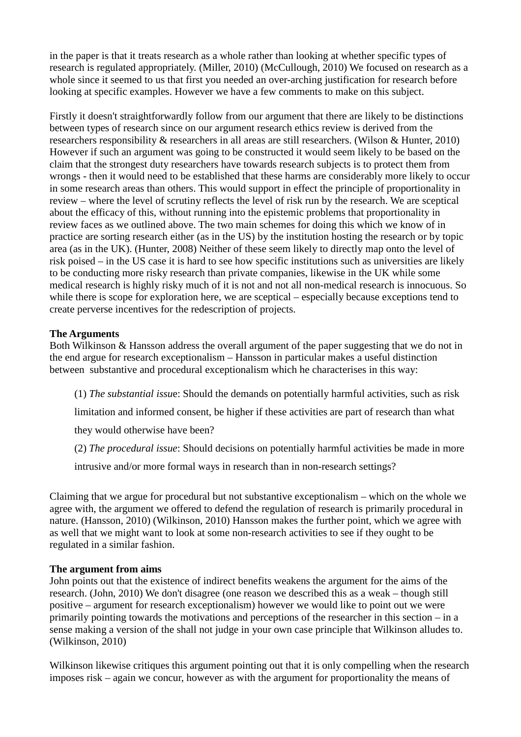in the paper is that it treats research as a whole rather than looking at whether specific types of research is regulated appropriately. (Miller, 2010) (McCullough, 2010) We focused on research as a whole since it seemed to us that first you needed an over-arching justification for research before looking at specific examples. However we have a few comments to make on this subject.

Firstly it doesn't straightforwardly follow from our argument that there are likely to be distinctions between types of research since on our argument research ethics review is derived from the researchers responsibility & researchers in all areas are still researchers. (Wilson & Hunter, 2010) However if such an argument was going to be constructed it would seem likely to be based on the claim that the strongest duty researchers have towards research subjects is to protect them from wrongs - then it would need to be established that these harms are considerably more likely to occur in some research areas than others. This would support in effect the principle of proportionality in review – where the level of scrutiny reflects the level of risk run by the research. We are sceptical about the efficacy of this, without running into the epistemic problems that proportionality in review faces as we outlined above. The two main schemes for doing this which we know of in practice are sorting research either (as in the US) by the institution hosting the research or by topic area (as in the UK). (Hunter, 2008) Neither of these seem likely to directly map onto the level of risk poised – in the US case it is hard to see how specific institutions such as universities are likely to be conducting more risky research than private companies, likewise in the UK while some medical research is highly risky much of it is not and not all non-medical research is innocuous. So while there is scope for exploration here, we are sceptical – especially because exceptions tend to create perverse incentives for the redescription of projects.

## **The Arguments**

Both Wilkinson & Hansson address the overall argument of the paper suggesting that we do not in the end argue for research exceptionalism – Hansson in particular makes a useful distinction between substantive and procedural exceptionalism which he characterises in this way:

(1) *The substantial issu*e: Should the demands on potentially harmful activities, such as risk

limitation and informed consent, be higher if these activities are part of research than what

they would otherwise have been?

(2) *The procedural issue*: Should decisions on potentially harmful activities be made in more

intrusive and/or more formal ways in research than in non-research settings?

Claiming that we argue for procedural but not substantive exceptionalism – which on the whole we agree with, the argument we offered to defend the regulation of research is primarily procedural in nature. (Hansson, 2010) (Wilkinson, 2010) Hansson makes the further point, which we agree with as well that we might want to look at some non-research activities to see if they ought to be regulated in a similar fashion.

#### **The argument from aims**

John points out that the existence of indirect benefits weakens the argument for the aims of the research. (John, 2010) We don't disagree (one reason we described this as a weak – though still positive – argument for research exceptionalism) however we would like to point out we were primarily pointing towards the motivations and perceptions of the researcher in this section – in a sense making a version of the shall not judge in your own case principle that Wilkinson alludes to. (Wilkinson, 2010)

Wilkinson likewise critiques this argument pointing out that it is only compelling when the research imposes risk – again we concur, however as with the argument for proportionality the means of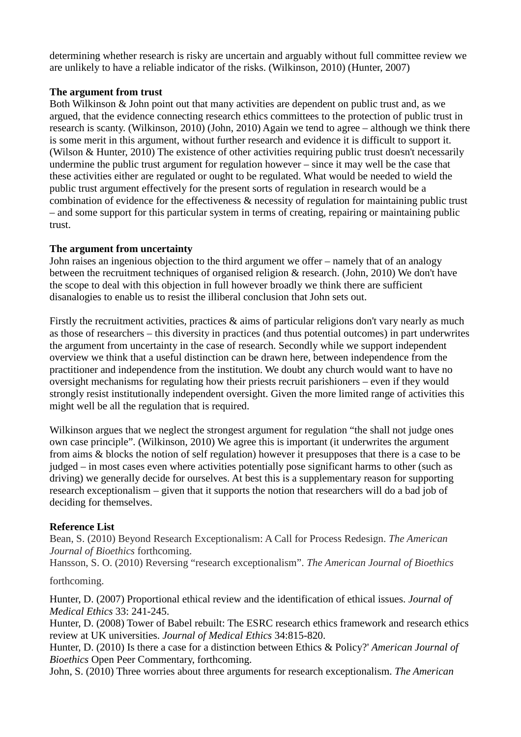determining whether research is risky are uncertain and arguably without full committee review we are unlikely to have a reliable indicator of the risks. (Wilkinson, 2010) (Hunter, 2007)

## **The argument from trust**

Both Wilkinson & John point out that many activities are dependent on public trust and, as we argued, that the evidence connecting research ethics committees to the protection of public trust in research is scanty. (Wilkinson, 2010) (John, 2010) Again we tend to agree – although we think there is some merit in this argument, without further research and evidence it is difficult to support it. (Wilson & Hunter, 2010) The existence of other activities requiring public trust doesn't necessarily undermine the public trust argument for regulation however – since it may well be the case that these activities either are regulated or ought to be regulated. What would be needed to wield the public trust argument effectively for the present sorts of regulation in research would be a combination of evidence for the effectiveness & necessity of regulation for maintaining public trust – and some support for this particular system in terms of creating, repairing or maintaining public trust.

## **The argument from uncertainty**

John raises an ingenious objection to the third argument we offer – namely that of an analogy between the recruitment techniques of organised religion & research. (John, 2010) We don't have the scope to deal with this objection in full however broadly we think there are sufficient disanalogies to enable us to resist the illiberal conclusion that John sets out.

Firstly the recruitment activities, practices & aims of particular religions don't vary nearly as much as those of researchers – this diversity in practices (and thus potential outcomes) in part underwrites the argument from uncertainty in the case of research. Secondly while we support independent overview we think that a useful distinction can be drawn here, between independence from the practitioner and independence from the institution. We doubt any church would want to have no oversight mechanisms for regulating how their priests recruit parishioners – even if they would strongly resist institutionally independent oversight. Given the more limited range of activities this might well be all the regulation that is required.

Wilkinson argues that we neglect the strongest argument for regulation "the shall not judge ones own case principle". (Wilkinson, 2010) We agree this is important (it underwrites the argument from aims & blocks the notion of self regulation) however it presupposes that there is a case to be judged – in most cases even where activities potentially pose significant harms to other (such as driving) we generally decide for ourselves. At best this is a supplementary reason for supporting research exceptionalism – given that it supports the notion that researchers will do a bad job of deciding for themselves.

# **Reference List**

Bean, S. (2010) Beyond Research Exceptionalism: A Call for Process Redesign. *The American Journal of Bioethics* forthcoming.

Hansson, S. O. (2010) Reversing "research exceptionalism". *The American Journal of Bioethics*

#### forthcoming.

Hunter, D. (2007) Proportional ethical review and the identification of ethical issues. *Journal of Medical Ethics* 33: 241-245.

Hunter, D. (2008) Tower of Babel rebuilt: The ESRC research ethics framework and research ethics review at UK universities. *Journal of Medical Ethics* 34:815-820.

Hunter, D. (2010) Is there a case for a distinction between Ethics & Policy?' *American Journal of Bioethics* Open Peer Commentary, forthcoming.

John, S. (2010) Three worries about three arguments for research exceptionalism. *The American*